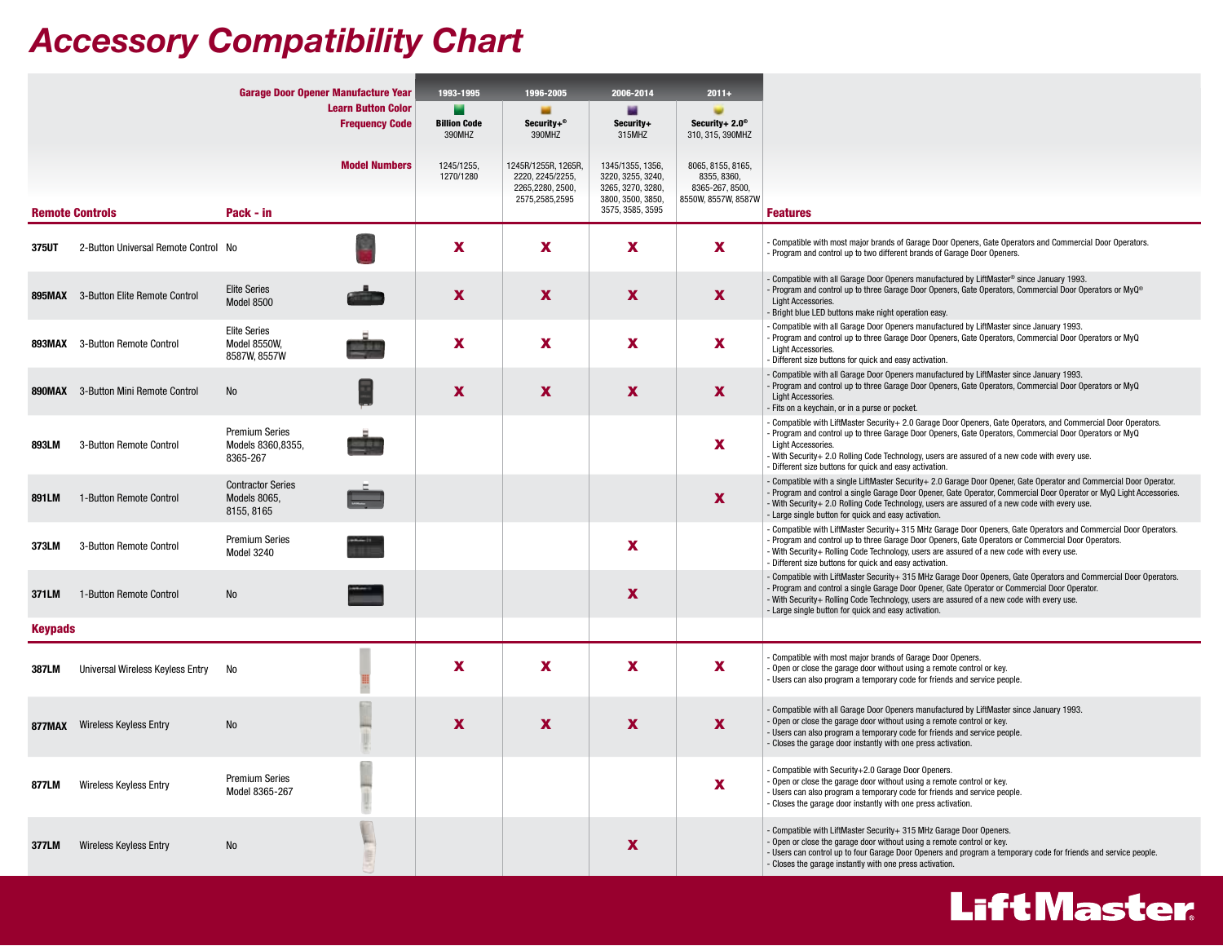## Accessory Compatibility Chart

|                        | <b>Garage Door Opener Manufacture Year</b>  |                                                        |                                                    | 1993-1995                          | 1996-2005                                                                     | 2006-2014                                                                       | $2011 +$                                                                   |                                                                                                                                                                                                                                                                                                                                                                                                       |
|------------------------|---------------------------------------------|--------------------------------------------------------|----------------------------------------------------|------------------------------------|-------------------------------------------------------------------------------|---------------------------------------------------------------------------------|----------------------------------------------------------------------------|-------------------------------------------------------------------------------------------------------------------------------------------------------------------------------------------------------------------------------------------------------------------------------------------------------------------------------------------------------------------------------------------------------|
|                        |                                             |                                                        | <b>Learn Button Color</b><br><b>Frequency Code</b> | m<br><b>Billion Code</b><br>390MHZ | Security+®<br>390MHZ                                                          | Security+<br>315MHZ                                                             | Security+ $2.0^\circ$<br>310, 315, 390MHZ                                  |                                                                                                                                                                                                                                                                                                                                                                                                       |
|                        |                                             |                                                        | <b>Model Numbers</b>                               | 1245/1255,<br>1270/1280            | 1245R/1255R, 1265R,<br>2220, 2245/2255,<br>2265,2280, 2500,<br>2575,2585,2595 | 1345/1355, 1356,<br>3220, 3255, 3240,<br>3265, 3270, 3280,<br>3800, 3500, 3850, | 8065, 8155, 8165,<br>8355, 8360,<br>8365-267, 8500,<br>8550W, 8557W, 8587W |                                                                                                                                                                                                                                                                                                                                                                                                       |
| <b>Remote Controls</b> |                                             | Pack - in                                              |                                                    |                                    |                                                                               | 3575, 3585, 3595                                                                |                                                                            | <b>Features</b>                                                                                                                                                                                                                                                                                                                                                                                       |
| 375UT                  | 2-Button Universal Remote Control No        |                                                        |                                                    | X                                  | $\mathbf x$                                                                   | $\mathbf{x}$                                                                    | $\mathbf{x}$                                                               | Compatible with most maior brands of Garage Door Openers, Gate Operators and Commercial Door Operators.<br>Program and control up to two different brands of Garage Door Openers.                                                                                                                                                                                                                     |
|                        | <b>895MAX</b> 3-Button Elite Remote Control | <b>Elite Series</b><br>Model 8500                      |                                                    | $\mathbf{x}$                       | $\mathbf{x}$                                                                  | <b>X</b>                                                                        | $\mathbf{x}$                                                               | Compatible with all Garage Door Openers manufactured by LiftMaster® since January 1993.<br>Program and control up to three Garage Door Openers, Gate Operators, Commercial Door Operators or MyQ®<br><b>Light Accessories.</b><br>Bright blue LED buttons make night operation easy.                                                                                                                  |
|                        | 893MAX 3-Button Remote Control              | <b>Elite Series</b><br>Model 8550W.<br>8587W, 8557W    |                                                    | $\mathbf x$                        | $\mathbf{x}$                                                                  | $\mathbf x$                                                                     | $\mathbf{x}$                                                               | Compatible with all Garage Door Openers manufactured by LiftMaster since January 1993.<br>Program and control up to three Garage Door Openers, Gate Operators, Commercial Door Operators or MyQ<br>Light Accessories.<br>Different size buttons for quick and easy activation.                                                                                                                        |
|                        | <b>890MAX</b> 3-Button Mini Remote Control  | No                                                     |                                                    | <b>X</b>                           | <b>X</b>                                                                      | <b>X</b>                                                                        | $\mathbf{x}$                                                               | Compatible with all Garage Door Openers manufactured by LiftMaster since January 1993.<br>Program and control up to three Garage Door Openers, Gate Operators, Commercial Door Operators or MyQ<br>Light Accessories.<br>- Fits on a keychain, or in a purse or pocket.                                                                                                                               |
| 893LM                  | 3-Button Remote Control                     | <b>Premium Series</b><br>Models 8360.8355.<br>8365-267 |                                                    |                                    |                                                                               |                                                                                 | $\mathbf{x}$                                                               | Compatible with LiftMaster Security+ 2.0 Garage Door Openers, Gate Operators, and Commercial Door Operators.<br>Program and control up to three Garage Door Openers, Gate Operators, Commercial Door Operators or MyQ<br>Light Accessories.<br>With Security+ 2.0 Rolling Code Technology, users are assured of a new code with every use.<br>- Different size buttons for quick and easy activation. |
| 891LM                  | 1-Button Remote Control                     | <b>Contractor Series</b><br>Models 8065,<br>8155, 8165 |                                                    |                                    |                                                                               |                                                                                 | <b>X</b>                                                                   | Compatible with a single LiftMaster Security+ 2.0 Garage Door Opener, Gate Operator and Commercial Door Operator.<br>- Program and control a single Garage Door Opener, Gate Operator, Commercial Door Operator or MyQ Light Accessories.<br>With Security+ 2.0 Rolling Code Technology, users are assured of a new code with every use.<br>- Large single button for quick and easy activation.      |
| <b>373LM</b>           | 3-Button Remote Control                     | <b>Premium Series</b><br>Model 3240                    |                                                    |                                    |                                                                               | $\mathbf{x}$                                                                    |                                                                            | Compatible with LiftMaster Security+315 MHz Garage Door Openers, Gate Operators and Commercial Door Operators.<br>Program and control up to three Garage Door Openers, Gate Operators or Commercial Door Operators.<br>With Security+ Rolling Code Technology, users are assured of a new code with every use.<br>- Different size buttons for quick and easy activation.                             |
| 371LM                  | 1-Button Remote Control                     | <b>No</b>                                              |                                                    |                                    |                                                                               | X                                                                               |                                                                            | Compatible with LiftMaster Security+ 315 MHz Garage Door Openers, Gate Operators and Commercial Door Operators.<br>- Program and control a single Garage Door Opener, Gate Operator or Commercial Door Operator.<br>With Security+ Rolling Code Technology, users are assured of a new code with every use.<br>- Large single button for quick and easy activation.                                   |
| <b>Keypads</b>         |                                             |                                                        |                                                    |                                    |                                                                               |                                                                                 |                                                                            |                                                                                                                                                                                                                                                                                                                                                                                                       |
| <b>387LM</b>           | Universal Wireless Keyless Entry            | No                                                     |                                                    | $\mathbf x$                        | $\mathbf{x}$                                                                  | $\mathbf x$                                                                     | $\mathbf{x}$                                                               | Compatible with most major brands of Garage Door Openers.<br>Open or close the garage door without using a remote control or key.<br>Users can also program a temporary code for friends and service people.                                                                                                                                                                                          |
|                        | 877MAX Wireless Keyless Entry               | <b>No</b>                                              |                                                    | $\mathbf{x}$                       | $\mathbf x$                                                                   | $\mathbf x$                                                                     | X                                                                          | Compatible with all Garage Door Openers manufactured by LiftMaster since January 1993.<br>- Open or close the garage door without using a remote control or key.<br>- Users can also program a temporary code for friends and service people.<br>- Closes the garage door instantly with one press activation.                                                                                        |
| 877LM                  | <b>Wireless Keyless Entry</b>               | <b>Premium Series</b><br>Model 8365-267                |                                                    |                                    |                                                                               |                                                                                 | X                                                                          | Compatible with Security+2.0 Garage Door Openers.<br>Open or close the garage door without using a remote control or key.<br>Users can also program a temporary code for friends and service people.<br>Closes the garage door instantly with one press activation.                                                                                                                                   |
| 377LM                  | <b>Wireless Keyless Entry</b>               | No                                                     |                                                    |                                    |                                                                               | $\mathbf{x}$                                                                    |                                                                            | - Compatible with LiftMaster Security+ 315 MHz Garage Door Openers.<br>- Open or close the garage door without using a remote control or key.<br>- Users can control up to four Garage Door Openers and program a temporary code for friends and service people.<br>- Closes the garage instantly with one press activation.                                                                          |